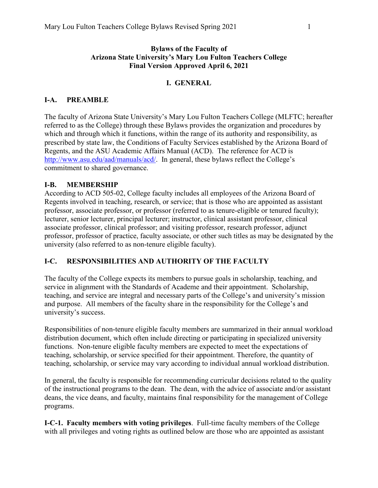### **Bylaws of the Faculty of Arizona State University's Mary Lou Fulton Teachers College Final Version Approved April 6, 2021**

# **I. GENERAL**

# **I-A. PREAMBLE**

The faculty of Arizona State University's Mary Lou Fulton Teachers College (MLFTC; hereafter referred to as the College) through these Bylaws provides the organization and procedures by which and through which it functions, within the range of its authority and responsibility, as prescribed by state law, the Conditions of Faculty Services established by the Arizona Board of Regents, and the ASU Academic Affairs Manual (ACD). The reference for ACD is [http://www.asu.edu/aad/manuals/acd/.](http://www.asu.edu/aad/manuals/acd/) In general, these bylaws reflect the College's commitment to shared governance.

# **I-B. MEMBERSHIP**

According to ACD 505-02, College faculty includes all employees of the Arizona Board of Regents involved in teaching, research, or service; that is those who are appointed as assistant professor, associate professor, or professor (referred to as tenure-eligible or tenured faculty); lecturer, senior lecturer, principal lecturer; instructor, clinical assistant professor, clinical associate professor, clinical professor; and visiting professor, research professor, adjunct professor, professor of practice, faculty associate, or other such titles as may be designated by the university (also referred to as non-tenure eligible faculty).

# **I-C. RESPONSIBILITIES AND AUTHORITY OF THE FACULTY**

The faculty of the College expects its members to pursue goals in scholarship, teaching, and service in alignment with the Standards of Academe and their appointment. Scholarship, teaching, and service are integral and necessary parts of the College's and university's mission and purpose. All members of the faculty share in the responsibility for the College's and university's success.

Responsibilities of non-tenure eligible faculty members are summarized in their annual workload distribution document, which often include directing or participating in specialized university functions. Non-tenure eligible faculty members are expected to meet the expectations of teaching, scholarship, or service specified for their appointment. Therefore, the quantity of teaching, scholarship, or service may vary according to individual annual workload distribution.

In general, the faculty is responsible for recommending curricular decisions related to the quality of the instructional programs to the dean. The dean, with the advice of associate and/or assistant deans, the vice deans, and faculty, maintains final responsibility for the management of College programs.

**I-C-1. Faculty members with voting privileges**. Full-time faculty members of the College with all privileges and voting rights as outlined below are those who are appointed as assistant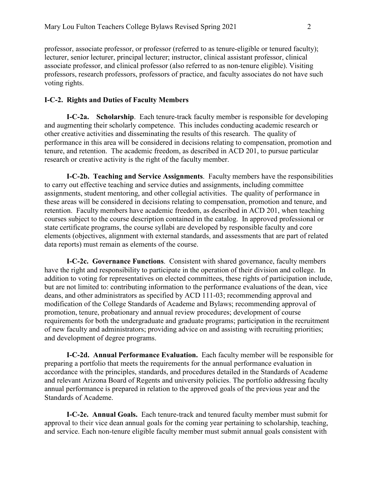professor, associate professor, or professor (referred to as tenure-eligible or tenured faculty); lecturer, senior lecturer, principal lecturer; instructor, clinical assistant professor, clinical associate professor, and clinical professor (also referred to as non-tenure eligible). Visiting professors, research professors, professors of practice, and faculty associates do not have such voting rights.

### **I-C-2. Rights and Duties of Faculty Members**

**I-C-2a. Scholarship**. Each tenure-track faculty member is responsible for developing and augmenting their scholarly competence. This includes conducting academic research or other creative activities and disseminating the results of this research. The quality of performance in this area will be considered in decisions relating to compensation, promotion and tenure, and retention. The academic freedom, as described in ACD 201, to pursue particular research or creative activity is the right of the faculty member.

**I-C-2b. Teaching and Service Assignments**. Faculty members have the responsibilities to carry out effective teaching and service duties and assignments, including committee assignments, student mentoring, and other collegial activities. The quality of performance in these areas will be considered in decisions relating to compensation, promotion and tenure, and retention. Faculty members have academic freedom, as described in ACD 201, when teaching courses subject to the course description contained in the catalog. In approved professional or state certificate programs, the course syllabi are developed by responsible faculty and core elements (objectives, alignment with external standards, and assessments that are part of related data reports) must remain as elements of the course.

**I-C-2c. Governance Functions**. Consistent with shared governance, faculty members have the right and responsibility to participate in the operation of their division and college. In addition to voting for representatives on elected committees, these rights of participation include, but are not limited to: contributing information to the performance evaluations of the dean, vice deans, and other administrators as specified by ACD 111-03; recommending approval and modification of the College Standards of Academe and Bylaws; recommending approval of promotion, tenure, probationary and annual review procedures; development of course requirements for both the undergraduate and graduate programs; participation in the recruitment of new faculty and administrators; providing advice on and assisting with recruiting priorities; and development of degree programs.

 **I-C-2d. Annual Performance Evaluation.** Each faculty member will be responsible for preparing a portfolio that meets the requirements for the annual performance evaluation in accordance with the principles, standards, and procedures detailed in the Standards of Academe and relevant Arizona Board of Regents and university policies. The portfolio addressing faculty annual performance is prepared in relation to the approved goals of the previous year and the Standards of Academe.

 **I-C-2e. Annual Goals.** Each tenure-track and tenured faculty member must submit for approval to their vice dean annual goals for the coming year pertaining to scholarship, teaching, and service. Each non-tenure eligible faculty member must submit annual goals consistent with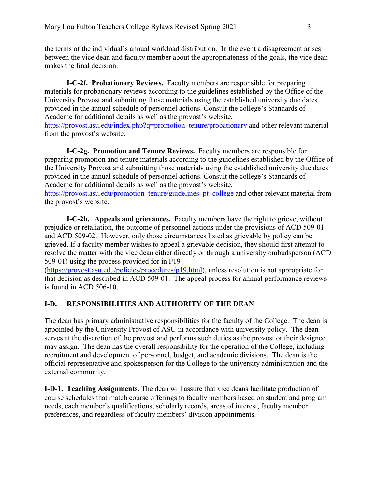the terms of the individual's annual workload distribution. In the event a disagreement arises between the vice dean and faculty member about the appropriateness of the goals, the vice dean makes the final decision.

**I-C-2f. Probationary Reviews.** Faculty members are responsible for preparing materials for probationary reviews according to the guidelines established by the Office of the University Provost and submitting those materials using the established university due dates provided in the annual schedule of personnel actions. Consult the college's Standards of Academe for additional details as well as the provost's website, [https://provost.asu.edu/index.php?q=promotion\\_tenure/probationary](https://provost.asu.edu/index.php?q=promotion_tenure/probationary) and other relevant material from the provost's website.

**I-C-2g. Promotion and Tenure Reviews.** Faculty members are responsible for preparing promotion and tenure materials according to the guidelines established by the Office of the University Provost and submitting those materials using the established university due dates provided in the annual schedule of personnel actions. Consult the college's Standards of Academe for additional details as well as the provost's website,

[https://provost.asu.edu/promotion\\_tenure/guidelines\\_pt\\_college](https://provost.asu.edu/promotion_tenure/guidelines_pt_college) and other relevant material from the provost's website.

**I-C-2h. Appeals and grievances***.* Faculty members have the right to grieve, without prejudice or retaliation, the outcome of personnel actions under the provisions of ACD 509-01 and ACD 509-02. However, only those circumstances listed as grievable by policy can be grieved. If a faculty member wishes to appeal a grievable decision, they should first attempt to resolve the matter with the vice dean either directly or through a university ombudsperson (ACD 509-01) using the process provided for in P19

[\(https://provost.asu.edu/policies/procedures/p19.html\)](https://provost.asu.edu/policies/procedures/p19.html), unless resolution is not appropriate for that decision as described in ACD 509-01. The appeal process for annual performance reviews is found in ACD 506-10.

## **I-D. RESPONSIBILITIES AND AUTHORITY OF THE DEAN**

The dean has primary administrative responsibilities for the faculty of the College. The dean is appointed by the University Provost of ASU in accordance with university policy. The dean serves at the discretion of the provost and performs such duties as the provost or their designee may assign. The dean has the overall responsibility for the operation of the College, including recruitment and development of personnel, budget, and academic divisions. The dean is the official representative and spokesperson for the College to the university administration and the external community.

**I-D-1. Teaching Assignments**. The dean will assure that vice deans facilitate production of course schedules that match course offerings to faculty members based on student and program needs, each member's qualifications, scholarly records, areas of interest, faculty member preferences, and regardless of faculty members' division appointments.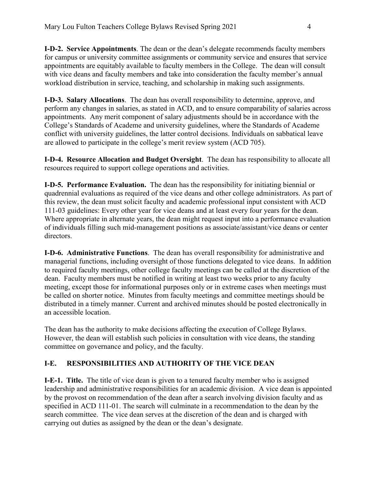**I-D-2. Service Appointments**. The dean or the dean's delegate recommends faculty members for campus or university committee assignments or community service and ensures that service appointments are equitably available to faculty members in the College. The dean will consult with vice deans and faculty members and take into consideration the faculty member's annual workload distribution in service, teaching, and scholarship in making such assignments.

**I-D-3. Salary Allocations**. The dean has overall responsibility to determine, approve, and perform any changes in salaries, as stated in ACD, and to ensure comparability of salaries across appointments. Any merit component of salary adjustments should be in accordance with the College's Standards of Academe and university guidelines, where the Standards of Academe conflict with university guidelines, the latter control decisions. Individuals on sabbatical leave are allowed to participate in the college's merit review system (ACD 705).

**I-D-4. Resource Allocation and Budget Oversight**. The dean has responsibility to allocate all resources required to support college operations and activities.

**I-D-5. Performance Evaluation.** The dean has the responsibility for initiating biennial or quadrennial evaluations as required of the vice deans and other college administrators. As part of this review, the dean must solicit faculty and academic professional input consistent with ACD 111-03 guidelines: Every other year for vice deans and at least every four years for the dean. Where appropriate in alternate years, the dean might request input into a performance evaluation of individuals filling such mid-management positions as associate/assistant/vice deans or center directors.

**I-D-6. Administrative Functions**. The dean has overall responsibility for administrative and managerial functions, including oversight of those functions delegated to vice deans. In addition to required faculty meetings, other college faculty meetings can be called at the discretion of the dean. Faculty members must be notified in writing at least two weeks prior to any faculty meeting, except those for informational purposes only or in extreme cases when meetings must be called on shorter notice. Minutes from faculty meetings and committee meetings should be distributed in a timely manner. Current and archived minutes should be posted electronically in an accessible location.

The dean has the authority to make decisions affecting the execution of College Bylaws. However, the dean will establish such policies in consultation with vice deans, the standing committee on governance and policy, and the faculty.

# **I-E. RESPONSIBILITIES AND AUTHORITY OF THE VICE DEAN**

**I-E-1. Title.** The title of vice dean is given to a tenured faculty member who is assigned leadership and administrative responsibilities for an academic division. A vice dean is appointed by the provost on recommendation of the dean after a search involving division faculty and as specified in ACD 111-01. The search will culminate in a recommendation to the dean by the search committee. The vice dean serves at the discretion of the dean and is charged with carrying out duties as assigned by the dean or the dean's designate.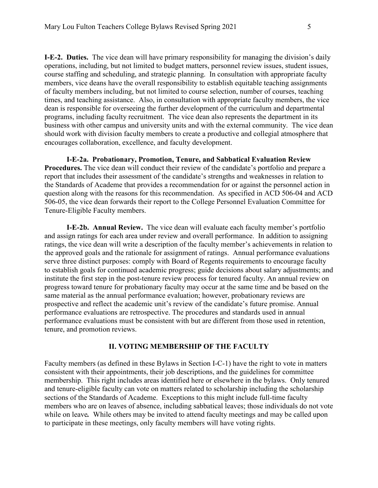**I-E-2. Duties.** The vice dean will have primary responsibility for managing the division's daily operations, including, but not limited to budget matters, personnel review issues, student issues, course staffing and scheduling, and strategic planning. In consultation with appropriate faculty members, vice deans have the overall responsibility to establish equitable teaching assignments of faculty members including, but not limited to course selection, number of courses, teaching times, and teaching assistance. Also, in consultation with appropriate faculty members, the vice dean is responsible for overseeing the further development of the curriculum and departmental programs, including faculty recruitment. The vice dean also represents the department in its business with other campus and university units and with the external community. The vice dean should work with division faculty members to create a productive and collegial atmosphere that encourages collaboration, excellence, and faculty development.

**I-E-2a. Probationary, Promotion, Tenure, and Sabbatical Evaluation Review Procedures.** The vice dean will conduct their review of the candidate's portfolio and prepare a report that includes their assessment of the candidate's strengths and weaknesses in relation to the Standards of Academe that provides a recommendation for or against the personnel action in question along with the reasons for this recommendation. As specified in ACD 506-04 and ACD 506-05, the vice dean forwards their report to the College Personnel Evaluation Committee for Tenure-Eligible Faculty members.

**I-E-2b. Annual Review.** The vice dean will evaluate each faculty member's portfolio and assign ratings for each area under review and overall performance. In addition to assigning ratings, the vice dean will write a description of the faculty member's achievements in relation to the approved goals and the rationale for assignment of ratings. Annual performance evaluations serve three distinct purposes: comply with Board of Regents requirements to encourage faculty to establish goals for continued academic progress; guide decisions about salary adjustments; and institute the first step in the post-tenure review process for tenured faculty. An annual review on progress toward tenure for probationary faculty may occur at the same time and be based on the same material as the annual performance evaluation; however, probationary reviews are prospective and reflect the academic unit's review of the candidate's future promise. Annual performance evaluations are retrospective. The procedures and standards used in annual performance evaluations must be consistent with but are different from those used in retention, tenure, and promotion reviews.

#### **II. VOTING MEMBERSHIP OF THE FACULTY**

Faculty members (as defined in these Bylaws in Section I-C-1) have the right to vote in matters consistent with their appointments, their job descriptions, and the guidelines for committee membership. This right includes areas identified here or elsewhere in the bylaws. Only tenured and tenure-eligible faculty can vote on matters related to scholarship including the scholarship sections of the Standards of Academe. Exceptions to this might include full-time faculty members who are on leaves of absence, including sabbatical leaves; those individuals do not vote while on leave*.* While others may be invited to attend faculty meetings and may be called upon to participate in these meetings, only faculty members will have voting rights.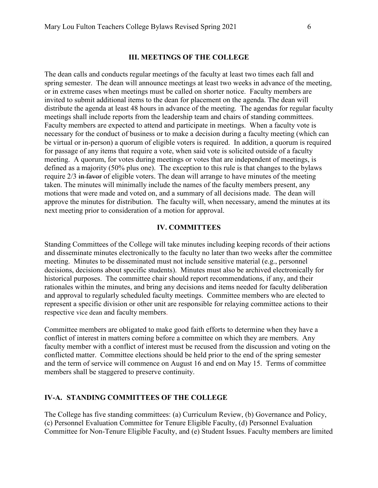#### **III. MEETINGS OF THE COLLEGE**

The dean calls and conducts regular meetings of the faculty at least two times each fall and spring semester. The dean will announce meetings at least two weeks in advance of the meeting, or in extreme cases when meetings must be called on shorter notice. Faculty members are invited to submit additional items to the dean for placement on the agenda. The dean will distribute the agenda at least 48 hours in advance of the meeting. The agendas for regular faculty meetings shall include reports from the leadership team and chairs of standing committees. Faculty members are expected to attend and participate in meetings. When a faculty vote is necessary for the conduct of business or to make a decision during a faculty meeting (which can be virtual or in-person) a quorum of eligible voters is required. In addition, a quorum is required for passage of any items that require a vote, when said vote is solicited outside of a faculty meeting. A quorum, for votes during meetings or votes that are independent of meetings, is defined as a majority (50% plus one). The exception to this rule is that changes to the bylaws require 2/3 in favor of eligible voters. The dean will arrange to have minutes of the meeting taken. The minutes will minimally include the names of the faculty members present, any motions that were made and voted on, and a summary of all decisions made. The dean will approve the minutes for distribution. The faculty will, when necessary, amend the minutes at its next meeting prior to consideration of a motion for approval.

#### **IV. COMMITTEES**

Standing Committees of the College will take minutes including keeping records of their actions and disseminate minutes electronically to the faculty no later than two weeks after the committee meeting. Minutes to be disseminated must not include sensitive material (e.g., personnel decisions, decisions about specific students). Minutes must also be archived electronically for historical purposes. The committee chair should report recommendations, if any, and their rationales within the minutes, and bring any decisions and items needed for faculty deliberation and approval to regularly scheduled faculty meetings. Committee members who are elected to represent a specific division or other unit are responsible for relaying committee actions to their respective vice dean and faculty members.

Committee members are obligated to make good faith efforts to determine when they have a conflict of interest in matters coming before a committee on which they are members. Any faculty member with a conflict of interest must be recused from the discussion and voting on the conflicted matter. Committee elections should be held prior to the end of the spring semester and the term of service will commence on August 16 and end on May 15. Terms of committee members shall be staggered to preserve continuity.

#### **IV-A. STANDING COMMITTEES OF THE COLLEGE**

The College has five standing committees: (a) Curriculum Review, (b) Governance and Policy, (c) Personnel Evaluation Committee for Tenure Eligible Faculty, (d) Personnel Evaluation Committee for Non-Tenure Eligible Faculty, and (e) Student Issues. Faculty members are limited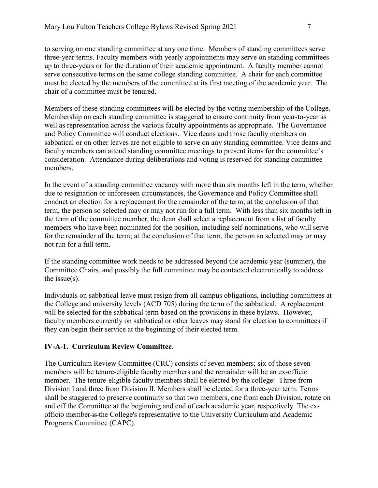to serving on one standing committee at any one time. Members of standing committees serve three-year terms. Faculty members with yearly appointments may serve on standing committees up to three-years or for the duration of their academic appointment. A faculty member cannot serve consecutive terms on the same college standing committee. A chair for each committee must be elected by the members of the committee at its first meeting of the academic year. The chair of a committee must be tenured.

Members of these standing committees will be elected by the voting membership of the College. Membership on each standing committee is staggered to ensure continuity from year-to-year as well as representation across the various faculty appointments as appropriate. The Governance and Policy Committee will conduct elections. Vice deans and those faculty members on sabbatical or on other leaves are not eligible to serve on any standing committee. Vice deans and faculty members can attend standing committee meetings to present items for the committee's consideration. Attendance during deliberations and voting is reserved for standing committee members.

In the event of a standing committee vacancy with more than six months left in the term, whether due to resignation or unforeseen circumstances, the Governance and Policy Committee shall conduct an election for a replacement for the remainder of the term; at the conclusion of that term, the person so selected may or may not run for a full term. With less than six months left in the term of the committee member, the dean shall select a replacement from a list of faculty members who have been nominated for the position, including self-nominations, who will serve for the remainder of the term; at the conclusion of that term, the person so selected may or may not run for a full term.

If the standing committee work needs to be addressed beyond the academic year (summer), the Committee Chairs, and possibly the full committee may be contacted electronically to address the issue $(s)$ .

Individuals on sabbatical leave must resign from all campus obligations, including committees at the College and university levels (ACD 705) during the term of the sabbatical. A replacement will be selected for the sabbatical term based on the provisions in these bylaws. However, faculty members currently on sabbatical or other leaves may stand for election to committees if they can begin their service at the beginning of their elected term.

## **IV-A-1. Curriculum Review Committee**.

The Curriculum Review Committee (CRC) consists of seven members; six of those seven members will be tenure-eligible faculty members and the remainder will be an ex-officio member. The tenure-eligible faculty members shall be elected by the college: Three from Division I and three from Division II. Members shall be elected for a three-year term. Terms shall be staggered to preserve continuity so that two members, one from each Division, rotate on and off the Committee at the beginning and end of each academic year, respectively. The exofficio member is the College's representative to the University Curriculum and Academic Programs Committee (CAPC).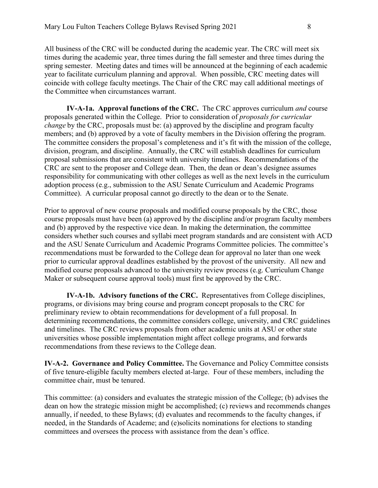All business of the CRC will be conducted during the academic year. The CRC will meet six times during the academic year, three times during the fall semester and three times during the spring semester. Meeting dates and times will be announced at the beginning of each academic year to facilitate curriculum planning and approval. When possible, CRC meeting dates will coincide with college faculty meetings. The Chair of the CRC may call additional meetings of the Committee when circumstances warrant.

**IV-A-1a. Approval functions of the CRC.** The CRC approves curriculum *and* course proposals generated within the College. Prior to consideration of *proposals for curricular change* by the CRC, proposals must be: (a) approved by the discipline and program faculty members; and (b) approved by a vote of faculty members in the Division offering the program. The committee considers the proposal's completeness and it's fit with the mission of the college, division, program, and discipline. Annually, the CRC will establish deadlines for curriculum proposal submissions that are consistent with university timelines. Recommendations of the CRC are sent to the proposer and College dean. Then, the dean or dean's designee assumes responsibility for communicating with other colleges as well as the next levels in the curriculum adoption process (e.g., submission to the ASU Senate Curriculum and Academic Programs Committee). A curricular proposal cannot go directly to the dean or to the Senate.

Prior to approval of new course proposals and modified course proposals by the CRC, those course proposals must have been (a) approved by the discipline and/or program faculty members and (b) approved by the respective vice dean. In making the determination, the committee considers whether such courses and syllabi meet program standards and are consistent with ACD and the ASU Senate Curriculum and Academic Programs Committee policies. The committee's recommendations must be forwarded to the College dean for approval no later than one week prior to curricular approval deadlines established by the provost of the university. All new and modified course proposals advanced to the university review process (e.g. Curriculum Change Maker or subsequent course approval tools) must first be approved by the CRC.

**IV-A-1b. Advisory functions of the CRC.** Representatives from College disciplines, programs, or divisions may bring course and program concept proposals to the CRC for preliminary review to obtain recommendations for development of a full proposal. In determining recommendations, the committee considers college, university, and CRC guidelines and timelines. The CRC reviews proposals from other academic units at ASU or other state universities whose possible implementation might affect college programs, and forwards recommendations from these reviews to the College dean.

**IV-A-2. Governance and Policy Committee.** The Governance and Policy Committee consists of five tenure-eligible faculty members elected at-large. Four of these members, including the committee chair, must be tenured.

This committee: (a) considers and evaluates the strategic mission of the College; (b) advises the dean on how the strategic mission might be accomplished; (c) reviews and recommends changes annually, if needed, to these Bylaws; (d) evaluates and recommends to the faculty changes, if needed, in the Standards of Academe; and (e)solicits nominations for elections to standing committees and oversees the process with assistance from the dean's office.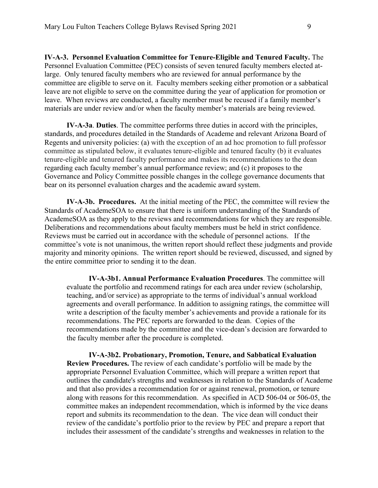**IV-A-3. Personnel Evaluation Committee for Tenure-Eligible and Tenured Faculty.** The Personnel Evaluation Committee (PEC) consists of seven tenured faculty members elected atlarge. Only tenured faculty members who are reviewed for annual performance by the committee are eligible to serve on it. Faculty members seeking either promotion or a sabbatical leave are not eligible to serve on the committee during the year of application for promotion or leave. When reviews are conducted, a faculty member must be recused if a family member's materials are under review and/or when the faculty member's materials are being reviewed.

**IV-A-3a**. **Duties**. The committee performs three duties in accord with the principles, standards, and procedures detailed in the Standards of Academe and relevant Arizona Board of Regents and university policies: (a) with the exception of an ad hoc promotion to full professor committee as stipulated below, it evaluates tenure-eligible and tenured faculty (b) it evaluates tenure-eligible and tenured faculty performance and makes its recommendations to the dean regarding each faculty member's annual performance review; and (c) it proposes to the Governance and Policy Committee possible changes in the college governance documents that bear on its personnel evaluation charges and the academic award system.

**IV-A-3b. Procedures.** At the initial meeting of the PEC, the committee will review the Standards of AcademeSOA to ensure that there is uniform understanding of the Standards of AcademeSOA as they apply to the reviews and recommendations for which they are responsible. Deliberations and recommendations about faculty members must be held in strict confidence. Reviews must be carried out in accordance with the schedule of personnel actions. If the committee's vote is not unanimous, the written report should reflect these judgments and provide majority and minority opinions. The written report should be reviewed, discussed, and signed by the entire committee prior to sending it to the dean.

**IV-A-3b1. Annual Performance Evaluation Procedures**. The committee will evaluate the portfolio and recommend ratings for each area under review (scholarship, teaching, and/or service) as appropriate to the terms of individual's annual workload agreements and overall performance. In addition to assigning ratings, the committee will write a description of the faculty member's achievements and provide a rationale for its recommendations. The PEC reports are forwarded to the dean. Copies of the recommendations made by the committee and the vice-dean's decision are forwarded to the faculty member after the procedure is completed.

**IV-A-3b2. Probationary, Promotion, Tenure, and Sabbatical Evaluation Review Procedures.** The review of each candidate's portfolio will be made by the appropriate Personnel Evaluation Committee, which will prepare a written report that outlines the candidate's strengths and weaknesses in relation to the Standards of Academe and that also provides a recommendation for or against renewal, promotion, or tenure along with reasons for this recommendation. As specified in ACD 506-04 or 506-05, the committee makes an independent recommendation, which is informed by the vice deans report and submits its recommendation to the dean. The vice dean will conduct their review of the candidate's portfolio prior to the review by PEC and prepare a report that includes their assessment of the candidate's strengths and weaknesses in relation to the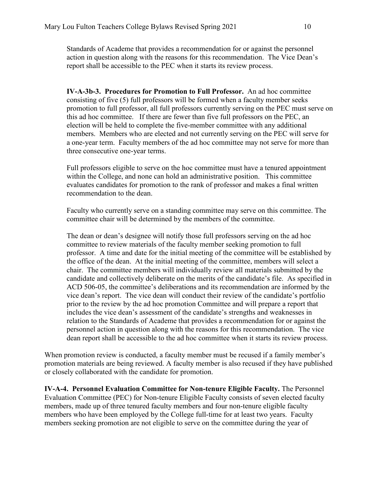Standards of Academe that provides a recommendation for or against the personnel action in question along with the reasons for this recommendation. The Vice Dean's report shall be accessible to the PEC when it starts its review process.

**IV-A-3b-3. Procedures for Promotion to Full Professor.** An ad hoc committee consisting of five (5) full professors will be formed when a faculty member seeks promotion to full professor, all full professors currently serving on the PEC must serve on this ad hoc committee. If there are fewer than five full professors on the PEC, an election will be held to complete the five-member committee with any additional members. Members who are elected and not currently serving on the PEC will serve for a one-year term. Faculty members of the ad hoc committee may not serve for more than three consecutive one-year terms.

Full professors eligible to serve on the hoc committee must have a tenured appointment within the College, and none can hold an administrative position. This committee evaluates candidates for promotion to the rank of professor and makes a final written recommendation to the dean.

Faculty who currently serve on a standing committee may serve on this committee. The committee chair will be determined by the members of the committee.

The dean or dean's designee will notify those full professors serving on the ad hoc committee to review materials of the faculty member seeking promotion to full professor. A time and date for the initial meeting of the committee will be established by the office of the dean. At the initial meeting of the committee, members will select a chair. The committee members will individually review all materials submitted by the candidate and collectively deliberate on the merits of the candidate's file. As specified in ACD 506-05, the committee's deliberations and its recommendation are informed by the vice dean's report. The vice dean will conduct their review of the candidate's portfolio prior to the review by the ad hoc promotion Committee and will prepare a report that includes the vice dean's assessment of the candidate's strengths and weaknesses in relation to the Standards of Academe that provides a recommendation for or against the personnel action in question along with the reasons for this recommendation. The vice dean report shall be accessible to the ad hoc committee when it starts its review process.

When promotion review is conducted, a faculty member must be recused if a family member's promotion materials are being reviewed. A faculty member is also recused if they have published or closely collaborated with the candidate for promotion.

**IV-A-4. Personnel Evaluation Committee for Non-tenure Eligible Faculty.** The Personnel Evaluation Committee (PEC) for Non-tenure Eligible Faculty consists of seven elected faculty members, made up of three tenured faculty members and four non-tenure eligible faculty members who have been employed by the College full-time for at least two years. Faculty members seeking promotion are not eligible to serve on the committee during the year of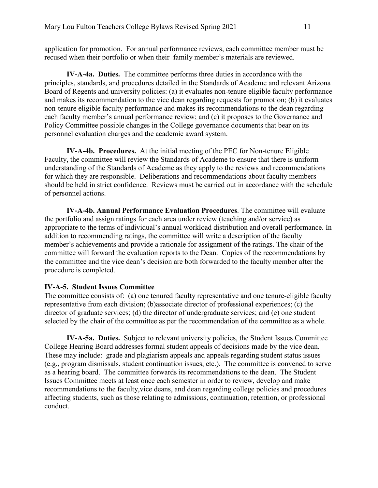application for promotion. For annual performance reviews, each committee member must be recused when their portfolio or when their family member's materials are reviewed.

**IV-A-4a. Duties.** The committee performs three duties in accordance with the principles, standards, and procedures detailed in the Standards of Academe and relevant Arizona Board of Regents and university policies: (a) it evaluates non-tenure eligible faculty performance and makes its recommendation to the vice dean regarding requests for promotion; (b) it evaluates non-tenure eligible faculty performance and makes its recommendations to the dean regarding each faculty member's annual performance review; and (c) it proposes to the Governance and Policy Committee possible changes in the College governance documents that bear on its personnel evaluation charges and the academic award system.

**IV-A-4b. Procedures.** At the initial meeting of the PEC for Non-tenure Eligible Faculty, the committee will review the Standards of Academe to ensure that there is uniform understanding of the Standards of Academe as they apply to the reviews and recommendations for which they are responsible. Deliberations and recommendations about faculty members should be held in strict confidence. Reviews must be carried out in accordance with the schedule of personnel actions.

**IV-A-4b. Annual Performance Evaluation Procedures**. The committee will evaluate the portfolio and assign ratings for each area under review (teaching and/or service) as appropriate to the terms of individual's annual workload distribution and overall performance. In addition to recommending ratings, the committee will write a description of the faculty member's achievements and provide a rationale for assignment of the ratings. The chair of the committee will forward the evaluation reports to the Dean. Copies of the recommendations by the committee and the vice dean's decision are both forwarded to the faculty member after the procedure is completed.

#### **IV-A-5. Student Issues Committee**

The committee consists of: (a) one tenured faculty representative and one tenure-eligible faculty representative from each division; (b)associate director of professional experiences; (c) the director of graduate services; (d) the director of undergraduate services; and (e) one student selected by the chair of the committee as per the recommendation of the committee as a whole.

**IV-A-5a. Duties.** Subject to relevant university policies, the Student Issues Committee College Hearing Board addresses formal student appeals of decisions made by the vice dean. These may include: grade and plagiarism appeals and appeals regarding student status issues (e.g., program dismissals, student continuation issues, etc.). The committee is convened to serve as a hearing board. The committee forwards its recommendations to the dean. The Student Issues Committee meets at least once each semester in order to review, develop and make recommendations to the faculty,vice deans, and dean regarding college policies and procedures affecting students, such as those relating to admissions, continuation, retention, or professional conduct.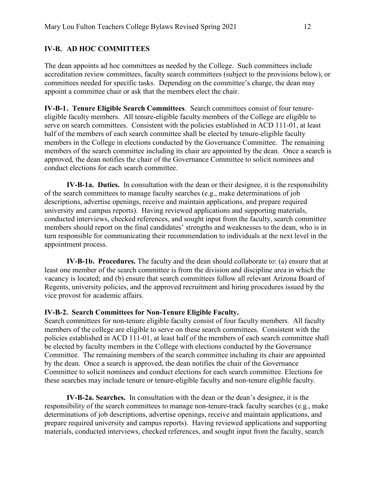### **IV-B. AD HOC COMMITTEES**

The dean appoints ad hoc committees as needed by the College. Such committees include accreditation review committees, faculty search committees (subject to the provisions below), or committees needed for specific tasks. Depending on the committee's charge, the dean may appoint a committee chair or ask that the members elect the chair.

**IV-B-1 . Tenure Eligible Search Committees**. Search committees consist of four tenureeligible faculty members. All tenure-eligible faculty members of the College are eligible to serve on search committees. Consistent with the policies established in ACD 111-01, at least half of the members of each search committee shall be elected by tenure-eligible faculty members in the College in elections conducted by the Governance Committee. The remaining members of the search committee including its chair are appointed by the dean. Once a search is approved, the dean notifies the chair of the Governance Committee to solicit nominees and conduct elections for each search committee.

**IV-B-1a. Duties.** In consultation with the dean or their designee, it is the responsibility of the search committees to manage faculty searches (e.g., make determinations of job descriptions, advertise openings, receive and maintain applications, and prepare required university and campus reports). Having reviewed applications and supporting materials, conducted interviews, checked references, and sought input from the faculty, search committee members should report on the final candidates' strengths and weaknesses to the dean, who is in turn responsible for communicating their recommendation to individuals at the next level in the appointment process.

**IV-B-1b. Procedures.** The faculty and the dean should collaborate to: (a) ensure that at least one member of the search committee is from the division and discipline area in which the vacancy is located; and (b) ensure that search committees follow all relevant Arizona Board of Regents, university policies, and the approved recruitment and hiring procedures issued by the vice provost for academic affairs.

#### **IV-B-2. Search Committees for Non-Tenure Eligible Faculty.**

Search committees for non-tenure eligible faculty consist of four faculty members. All faculty members of the college are eligible to serve on these search committees. Consistent with the policies established in ACD 111-01, at least half of the members of each search committee shall be elected by faculty members in the College with elections conducted by the Governance Committee. The remaining members of the search committee including its chair are appointed by the dean. Once a search is approved, the dean notifies the chair of the Governance Committee to solicit nominees and conduct elections for each search committee. Elections for these searches may include tenure or tenure-eligible faculty and non-tenure eligible faculty.

**IV-B-2a. Searches.** In consultation with the dean or the dean's designee, it is the responsibility of the search committees to manage non-tenure-track faculty searches (e.g., make determinations of job descriptions, advertise openings, receive and maintain applications, and prepare required university and campus reports). Having reviewed applications and supporting materials, conducted interviews, checked references, and sought input from the faculty, search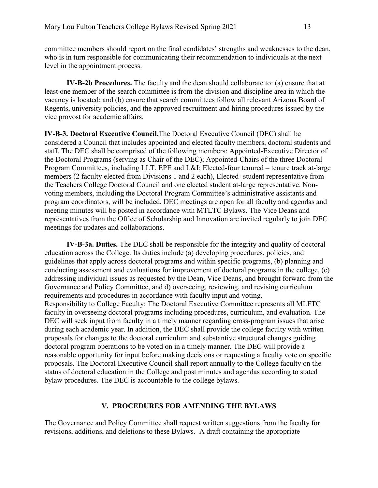committee members should report on the final candidates' strengths and weaknesses to the dean, who is in turn responsible for communicating their recommendation to individuals at the next level in the appointment process.

**IV-B-2b Procedures.** The faculty and the dean should collaborate to: (a) ensure that at least one member of the search committee is from the division and discipline area in which the vacancy is located; and (b) ensure that search committees follow all relevant Arizona Board of Regents, university policies, and the approved recruitment and hiring procedures issued by the vice provost for academic affairs.

**IV-B-3. Doctoral Executive Council.**The Doctoral Executive Council (DEC) shall be considered a Council that includes appointed and elected faculty members, doctoral students and staff. The DEC shall be comprised of the following members: Appointed-Executive Director of the Doctoral Programs (serving as Chair of the DEC); Appointed-Chairs of the three Doctoral Program Committees, including LLT, EPE and L&I; Elected-four tenured – tenure track at-large members (2 faculty elected from Divisions 1 and 2 each), Elected- student representative from the Teachers College Doctoral Council and one elected student at-large representative. Nonvoting members, including the Doctoral Program Committee's administrative assistants and program coordinators, will be included. DEC meetings are open for all faculty and agendas and meeting minutes will be posted in accordance with MTLTC Bylaws. The Vice Deans and representatives from the Office of Scholarship and Innovation are invited regularly to join DEC meetings for updates and collaborations.

**IV-B-3a. Duties.** The DEC shall be responsible for the integrity and quality of doctoral education across the College. Its duties include (a) developing procedures, policies, and guidelines that apply across doctoral programs and within specific programs, (b) planning and conducting assessment and evaluations for improvement of doctoral programs in the college, (c) addressing individual issues as requested by the Dean, Vice Deans, and brought forward from the Governance and Policy Committee, and d) overseeing, reviewing, and revising curriculum requirements and procedures in accordance with faculty input and voting. Responsibility to College Faculty: The Doctoral Executive Committee represents all MLFTC faculty in overseeing doctoral programs including procedures, curriculum, and evaluation. The DEC will seek input from faculty in a timely manner regarding cross-program issues that arise during each academic year. In addition, the DEC shall provide the college faculty with written proposals for changes to the doctoral curriculum and substantive structural changes guiding doctoral program operations to be voted on in a timely manner. The DEC will provide a reasonable opportunity for input before making decisions or requesting a faculty vote on specific proposals. The Doctoral Executive Council shall report annually to the College faculty on the status of doctoral education in the College and post minutes and agendas according to stated bylaw procedures. The DEC is accountable to the college bylaws.

### **V. PROCEDURES FOR AMENDING THE BYLAWS**

The Governance and Policy Committee shall request written suggestions from the faculty for revisions, additions, and deletions to these Bylaws. A draft containing the appropriate